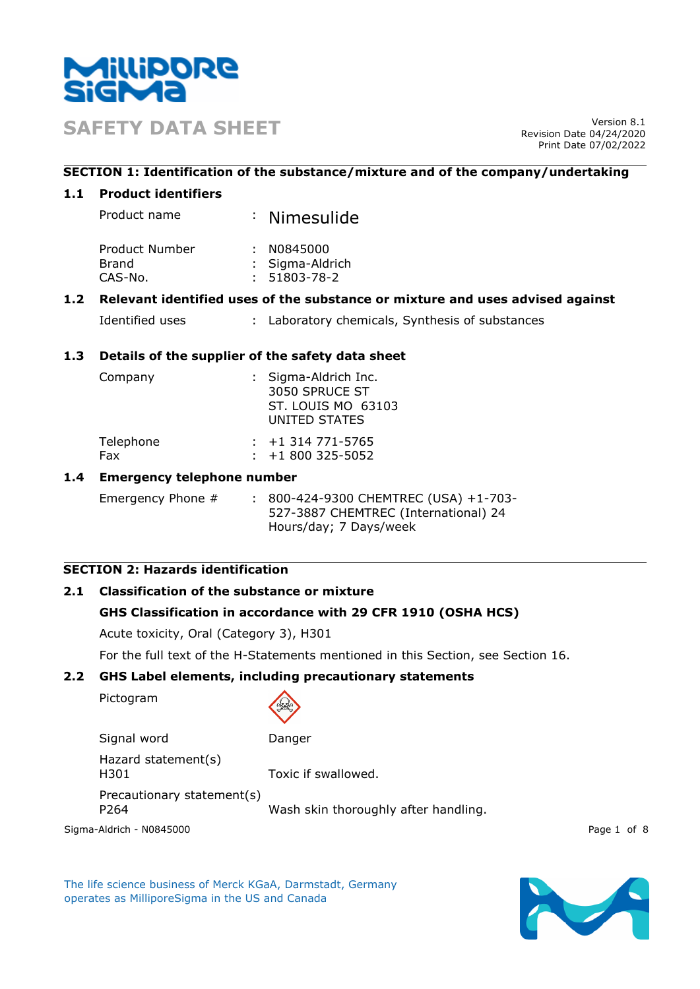

**SAFETY DATA SHEET** Version 8.1

Revision Date 04/24/2020 Print Date 07/02/2022

## **SECTION 1: Identification of the substance/mixture and of the company/undertaking**

## **1.1 Product identifiers**

| Product name | : Nimesulide |
|--------------|--------------|
|--------------|--------------|

| Product Number | : N0845000         |
|----------------|--------------------|
| Brand          | : Sigma-Aldrich    |
| CAS-No.        | $: 51803 - 78 - 2$ |

## **1.2 Relevant identified uses of the substance or mixture and uses advised against**

| Identified uses |  | : Laboratory chemicals, Synthesis of substances |  |
|-----------------|--|-------------------------------------------------|--|
|-----------------|--|-------------------------------------------------|--|

## **1.3 Details of the supplier of the safety data sheet**

| Company   | : Sigma-Aldrich Inc.<br>3050 SPRUCE ST<br>ST. LOUIS MO 63103 |
|-----------|--------------------------------------------------------------|
|           | UNITED STATES                                                |
| Telephone | $: +1314771 - 5765$                                          |

| <b>Telephone</b> | C0\C-1\)14 //1 = 1 :   |
|------------------|------------------------|
| Fax              | $\div$ +1 800 325-5052 |

## **1.4 Emergency telephone number**

Emergency Phone # : 800-424-9300 CHEMTREC (USA) +1-703-527-3887 CHEMTREC (International) 24 Hours/day; 7 Days/week

# **SECTION 2: Hazards identification**

# **2.1 Classification of the substance or mixture**

# **GHS Classification in accordance with 29 CFR 1910 (OSHA HCS)**

Acute toxicity, Oral (Category 3), H301

For the full text of the H-Statements mentioned in this Section, see Section 16.

#### **2.2 GHS Label elements, including precautionary statements**

Pictogram



Signal word Danger

Hazard statement(s) H301 Toxic if swallowed.

Precautionary statement(s) P264 Wash skin thoroughly after handling.

Sigma-Aldrich - N0845000 Page 1 of 8

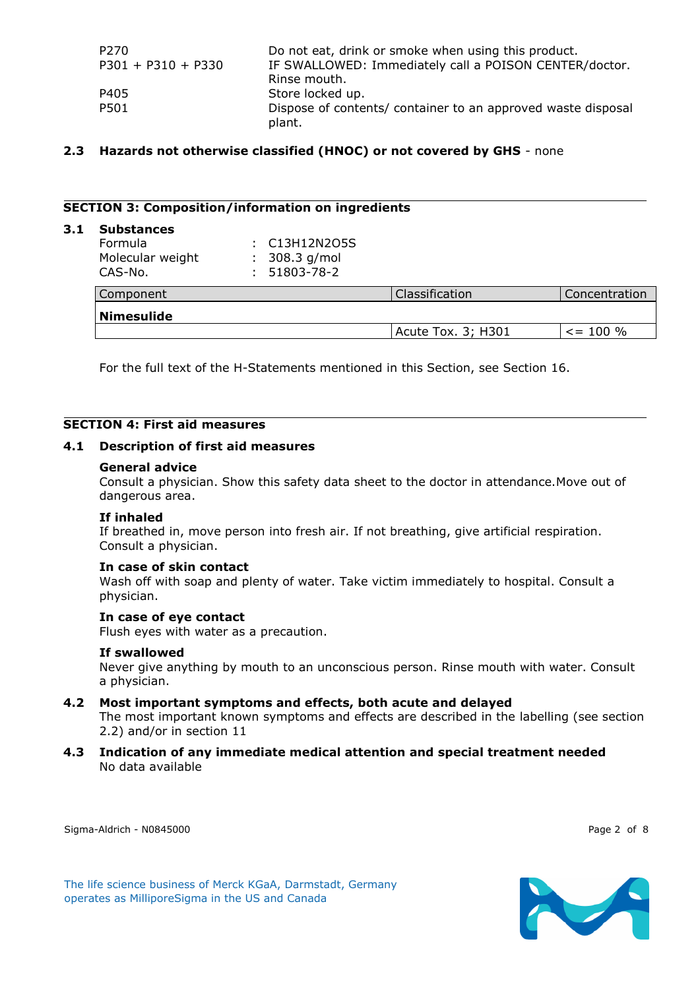| P270                 | Do not eat, drink or smoke when using this product.                    |
|----------------------|------------------------------------------------------------------------|
| $P301 + P310 + P330$ | IF SWALLOWED: Immediately call a POISON CENTER/doctor.                 |
|                      | Rinse mouth.                                                           |
| P405                 | Store locked up.                                                       |
| P501                 | Dispose of contents/ container to an approved waste disposal<br>plant. |

#### **2.3 Hazards not otherwise classified (HNOC) or not covered by GHS** - none

#### **SECTION 3: Composition/information on ingredients**

#### **3.1 Substances**

| Formula<br>Molecular weight<br>CAS-No. | : C13H12N2O5S<br>308.3 g/mol<br>51803-78-2 |                    |               |
|----------------------------------------|--------------------------------------------|--------------------|---------------|
| Component                              |                                            | Classification     | Concentration |
| <b>Nimesulide</b>                      |                                            |                    |               |
|                                        |                                            | Acute Tox. 3; H301 | $\le$ = 100 % |

For the full text of the H-Statements mentioned in this Section, see Section 16.

#### **SECTION 4: First aid measures**

#### **4.1 Description of first aid measures**

#### **General advice**

Consult a physician. Show this safety data sheet to the doctor in attendance.Move out of dangerous area.

#### **If inhaled**

If breathed in, move person into fresh air. If not breathing, give artificial respiration. Consult a physician.

#### **In case of skin contact**

Wash off with soap and plenty of water. Take victim immediately to hospital. Consult a physician.

#### **In case of eye contact**

Flush eyes with water as a precaution.

#### **If swallowed**

Never give anything by mouth to an unconscious person. Rinse mouth with water. Consult a physician.

#### **4.2 Most important symptoms and effects, both acute and delayed**

The most important known symptoms and effects are described in the labelling (see section 2.2) and/or in section 11

**4.3 Indication of any immediate medical attention and special treatment needed** No data available

Sigma-Aldrich - N0845000 Page 2 of 8

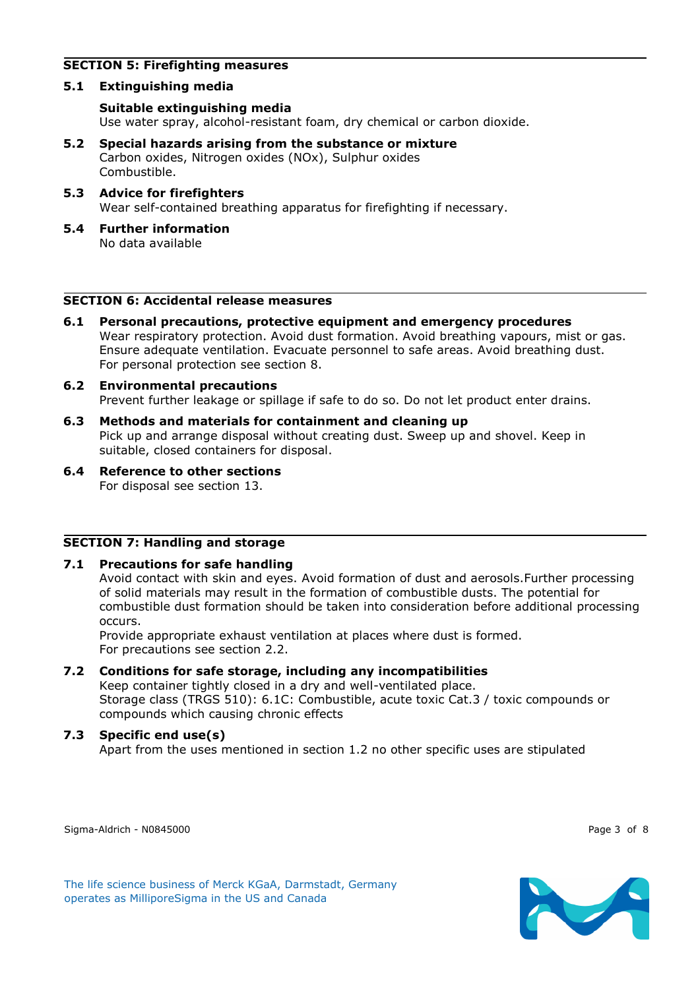## **SECTION 5: Firefighting measures**

## **5.1 Extinguishing media**

# **Suitable extinguishing media**

Use water spray, alcohol-resistant foam, dry chemical or carbon dioxide.

- **5.2 Special hazards arising from the substance or mixture** Carbon oxides, Nitrogen oxides (NOx), Sulphur oxides Combustible.
- **5.3 Advice for firefighters** Wear self-contained breathing apparatus for firefighting if necessary.
- **5.4 Further information** No data available

## **SECTION 6: Accidental release measures**

- **6.1 Personal precautions, protective equipment and emergency procedures** Wear respiratory protection. Avoid dust formation. Avoid breathing vapours, mist or gas. Ensure adequate ventilation. Evacuate personnel to safe areas. Avoid breathing dust. For personal protection see section 8.
- **6.2 Environmental precautions** Prevent further leakage or spillage if safe to do so. Do not let product enter drains.
- **6.3 Methods and materials for containment and cleaning up** Pick up and arrange disposal without creating dust. Sweep up and shovel. Keep in suitable, closed containers for disposal.
- **6.4 Reference to other sections** For disposal see section 13.

#### **SECTION 7: Handling and storage**

#### **7.1 Precautions for safe handling**

Avoid contact with skin and eyes. Avoid formation of dust and aerosols.Further processing of solid materials may result in the formation of combustible dusts. The potential for combustible dust formation should be taken into consideration before additional processing occurs.

Provide appropriate exhaust ventilation at places where dust is formed. For precautions see section 2.2.

# **7.2 Conditions for safe storage, including any incompatibilities**

Keep container tightly closed in a dry and well-ventilated place. Storage class (TRGS 510): 6.1C: Combustible, acute toxic Cat.3 / toxic compounds or compounds which causing chronic effects

# **7.3 Specific end use(s)**

Apart from the uses mentioned in section 1.2 no other specific uses are stipulated

Sigma-Aldrich - N0845000 Page 3 of 8

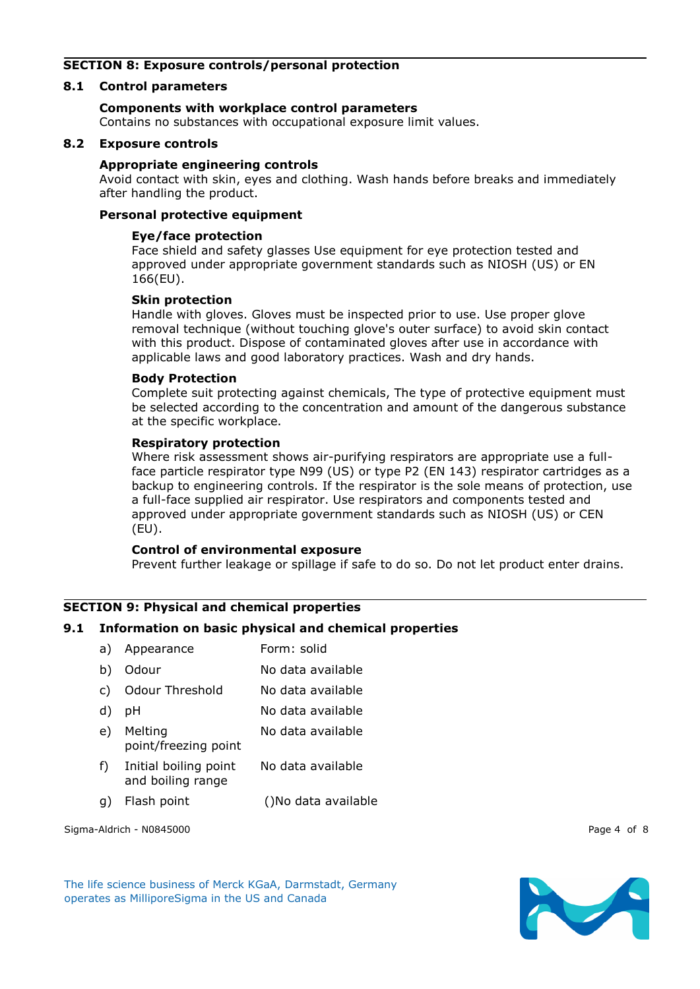## **SECTION 8: Exposure controls/personal protection**

#### **8.1 Control parameters**

## **Components with workplace control parameters**

Contains no substances with occupational exposure limit values.

## **8.2 Exposure controls**

#### **Appropriate engineering controls**

Avoid contact with skin, eyes and clothing. Wash hands before breaks and immediately after handling the product.

## **Personal protective equipment**

#### **Eye/face protection**

Face shield and safety glasses Use equipment for eye protection tested and approved under appropriate government standards such as NIOSH (US) or EN 166(EU).

#### **Skin protection**

Handle with gloves. Gloves must be inspected prior to use. Use proper glove removal technique (without touching glove's outer surface) to avoid skin contact with this product. Dispose of contaminated gloves after use in accordance with applicable laws and good laboratory practices. Wash and dry hands.

#### **Body Protection**

Complete suit protecting against chemicals, The type of protective equipment must be selected according to the concentration and amount of the dangerous substance at the specific workplace.

#### **Respiratory protection**

Where risk assessment shows air-purifying respirators are appropriate use a fullface particle respirator type N99 (US) or type P2 (EN 143) respirator cartridges as a backup to engineering controls. If the respirator is the sole means of protection, use a full-face supplied air respirator. Use respirators and components tested and approved under appropriate government standards such as NIOSH (US) or CEN (EU).

#### **Control of environmental exposure**

Prevent further leakage or spillage if safe to do so. Do not let product enter drains.

# **SECTION 9: Physical and chemical properties**

#### **9.1 Information on basic physical and chemical properties**

| a) | Appearance                                 | Form: solid       |
|----|--------------------------------------------|-------------------|
| b) | Odour                                      | No data available |
| C) | <b>Odour Threshold</b>                     | No data available |
| d) | рH                                         | No data available |
| e) | Melting<br>point/freezing point            | No data available |
| f) | Initial boiling point<br>and boiling range | No data available |
|    |                                            |                   |

g) Flash point ()No data available

Sigma-Aldrich - N0845000 Page 4 of 8

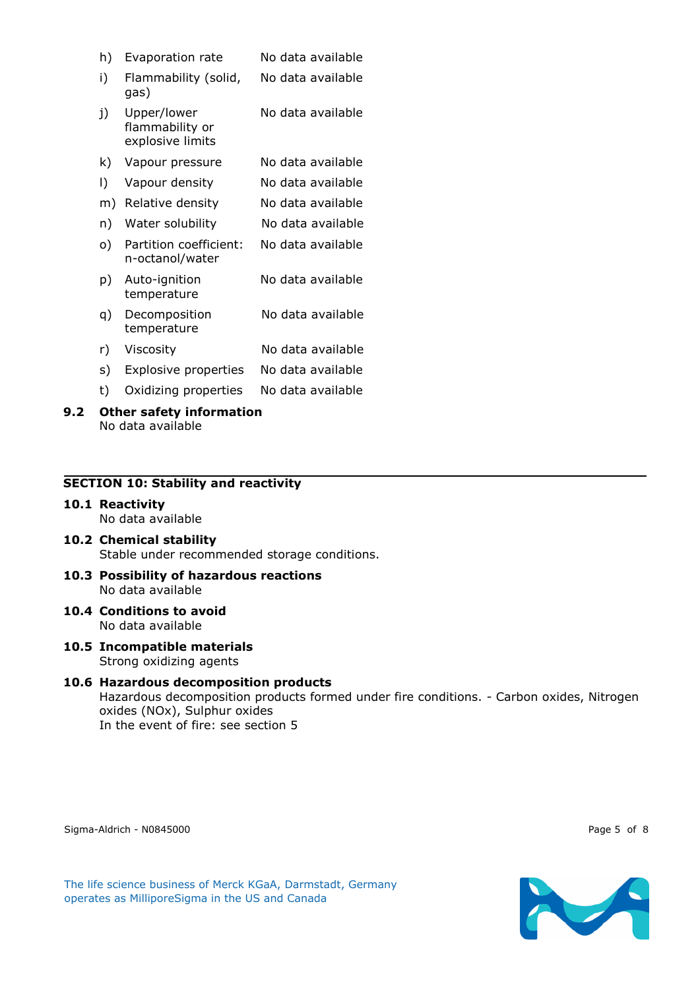| h) | Evaporation rate                                   | No data available |
|----|----------------------------------------------------|-------------------|
| i) | Flammability (solid,<br>gas)                       | No data available |
| j) | Upper/lower<br>flammability or<br>explosive limits | No data available |
| k) | Vapour pressure                                    | No data available |
| I) | Vapour density                                     | No data available |
| m) | Relative density                                   | No data available |
| n) | Water solubility                                   | No data available |
| o) | Partition coefficient:<br>n-octanol/water          | No data available |
| p) | Auto-ignition<br>temperature                       | No data available |
| q) | Decomposition<br>temperature                       | No data available |
| r) | Viscosity                                          | No data available |
| s) | <b>Explosive properties</b>                        | No data available |
| t) | Oxidizing properties                               | No data available |

**9.2 Other safety information** No data available

## **SECTION 10: Stability and reactivity**

- **10.1 Reactivity** No data available
- **10.2 Chemical stability** Stable under recommended storage conditions.
- **10.3 Possibility of hazardous reactions** No data available
- **10.4 Conditions to avoid** No data available
- **10.5 Incompatible materials** Strong oxidizing agents
- **10.6 Hazardous decomposition products** Hazardous decomposition products formed under fire conditions. - Carbon oxides, Nitrogen oxides (NOx), Sulphur oxides In the event of fire: see section 5

Sigma-Aldrich - N0845000 Page 5 of 8

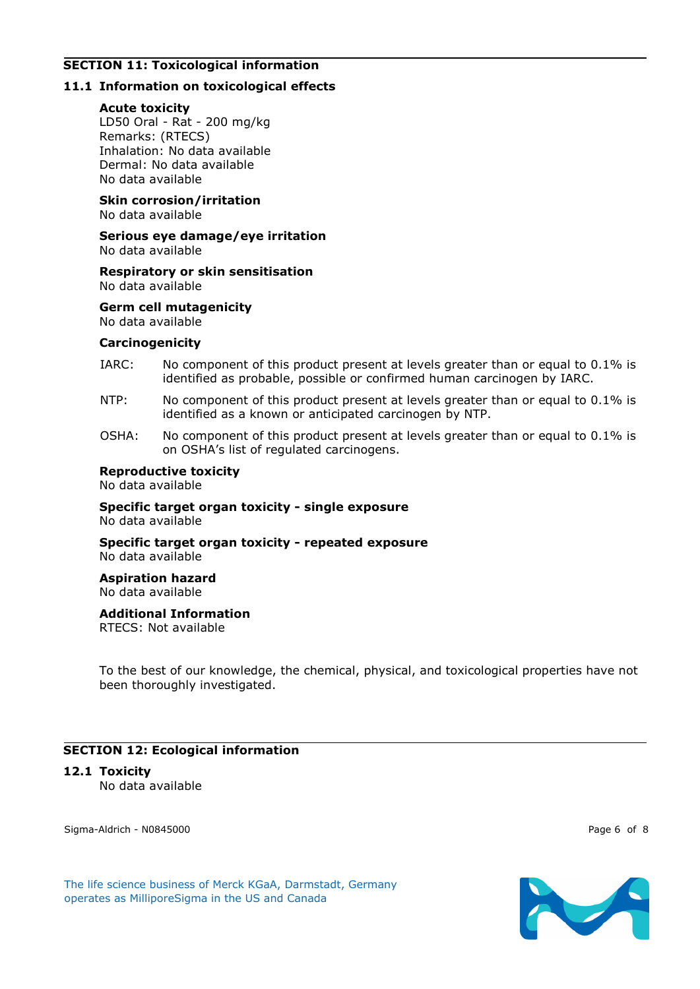# **SECTION 11: Toxicological information**

# **11.1 Information on toxicological effects**

#### **Acute toxicity**

LD50 Oral - Rat - 200 mg/kg Remarks: (RTECS) Inhalation: No data available Dermal: No data available No data available

**Skin corrosion/irritation** No data available

**Serious eye damage/eye irritation** No data available

**Respiratory or skin sensitisation** No data available

**Germ cell mutagenicity** No data available

#### **Carcinogenicity**

- IARC: No component of this product present at levels greater than or equal to 0.1% is identified as probable, possible or confirmed human carcinogen by IARC.
- NTP: No component of this product present at levels greater than or equal to 0.1% is identified as a known or anticipated carcinogen by NTP.
- OSHA: No component of this product present at levels greater than or equal to 0.1% is on OSHA's list of regulated carcinogens.

#### **Reproductive toxicity**

No data available

**Specific target organ toxicity - single exposure** No data available

**Specific target organ toxicity - repeated exposure** No data available

**Aspiration hazard** No data available

**Additional Information**

RTECS: Not available

To the best of our knowledge, the chemical, physical, and toxicological properties have not been thoroughly investigated.

# **SECTION 12: Ecological information**

#### **12.1 Toxicity**

No data available

Sigma-Aldrich - N0845000 Page 6 of 8

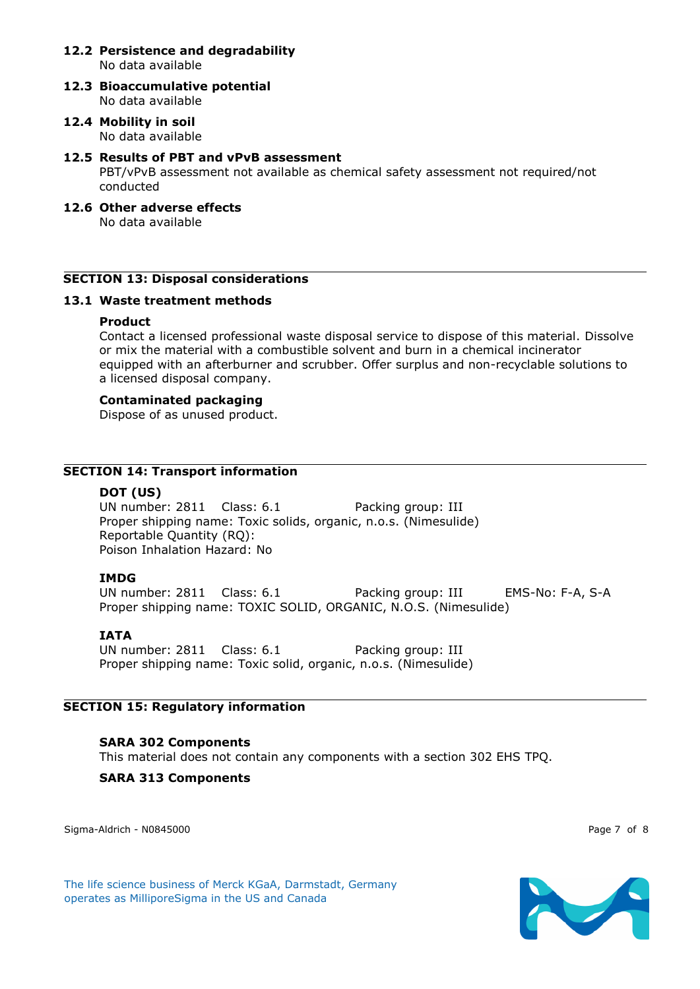#### **12.2 Persistence and degradability** No data available

**12.3 Bioaccumulative potential** No data available

### **12.4 Mobility in soil** No data available

#### **12.5 Results of PBT and vPvB assessment**

PBT/vPvB assessment not available as chemical safety assessment not required/not conducted

# **12.6 Other adverse effects**

No data available

#### **SECTION 13: Disposal considerations**

#### **13.1 Waste treatment methods**

#### **Product**

Contact a licensed professional waste disposal service to dispose of this material. Dissolve or mix the material with a combustible solvent and burn in a chemical incinerator equipped with an afterburner and scrubber. Offer surplus and non-recyclable solutions to a licensed disposal company.

#### **Contaminated packaging**

Dispose of as unused product.

## **SECTION 14: Transport information**

#### **DOT (US)**

UN number: 2811 Class: 6.1 Packing group: III Proper shipping name: Toxic solids, organic, n.o.s. (Nimesulide) Reportable Quantity (RQ): Poison Inhalation Hazard: No

#### **IMDG**

UN number: 2811 Class: 6.1 Packing group: III EMS-No: F-A, S-A Proper shipping name: TOXIC SOLID, ORGANIC, N.O.S. (Nimesulide)

#### **IATA**

UN number: 2811 Class: 6.1 Packing group: III Proper shipping name: Toxic solid, organic, n.o.s. (Nimesulide)

#### **SECTION 15: Regulatory information**

#### **SARA 302 Components**

This material does not contain any components with a section 302 EHS TPQ.

#### **SARA 313 Components**

Sigma-Aldrich - N0845000 Page 7 of 8